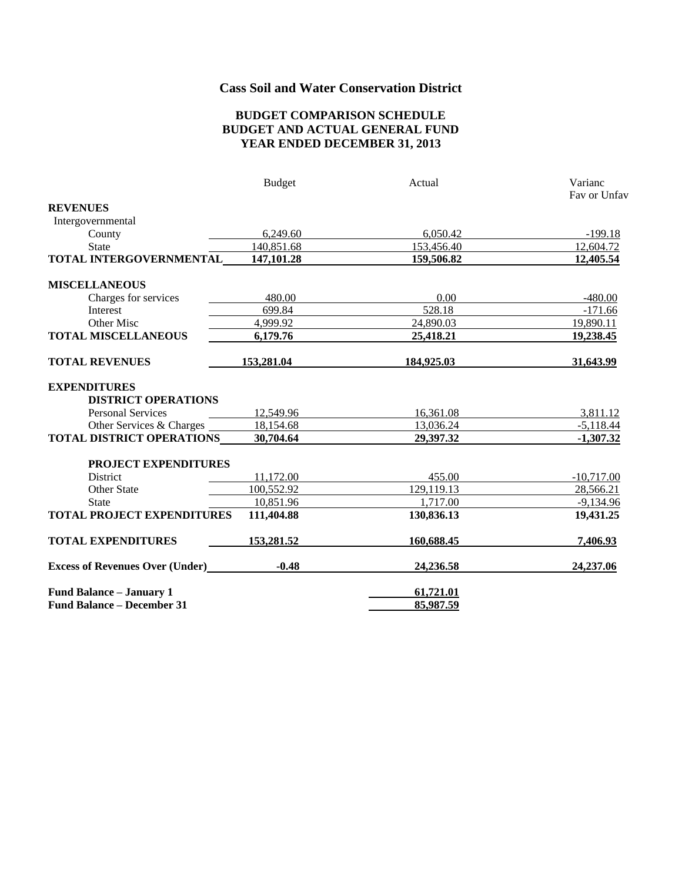# **Cass Soil and Water Conservation District**

#### **BUDGET COMPARISON SCHEDULE BUDGET AND ACTUAL GENERAL FUND YEAR ENDED DECEMBER 31, 2013**

|                                        | <b>Budget</b> | Actual     | Varianc      |
|----------------------------------------|---------------|------------|--------------|
|                                        |               |            | Fay or Unfay |
| <b>REVENUES</b>                        |               |            |              |
| Intergovernmental                      |               |            |              |
| County                                 | 6,249.60      | 6,050.42   | $-199.18$    |
| <b>State</b>                           | 140,851.68    | 153,456.40 | 12,604.72    |
| TOTAL INTERGOVERNMENTAL                | 147,101.28    | 159,506.82 | 12,405.54    |
| <b>MISCELLANEOUS</b>                   |               |            |              |
| Charges for services                   | 480.00        | 0.00       | $-480.00$    |
| Interest                               | 699.84        | 528.18     | $-171.66$    |
| Other Misc                             | 4,999.92      | 24,890.03  | 19,890.11    |
| <b>TOTAL MISCELLANEOUS</b>             | 6,179.76      | 25,418.21  | 19,238.45    |
| <b>TOTAL REVENUES</b>                  | 153,281.04    | 184,925.03 | 31,643.99    |
| <b>EXPENDITURES</b>                    |               |            |              |
| <b>DISTRICT OPERATIONS</b>             |               |            |              |
| <b>Personal Services</b>               | 12,549.96     | 16,361.08  | 3,811.12     |
| Other Services & Charges               | 18,154.68     | 13,036.24  | $-5,118.44$  |
| <b>TOTAL DISTRICT OPERATIONS</b>       | 30,704.64     | 29,397.32  | $-1,307.32$  |
| PROJECT EXPENDITURES                   |               |            |              |
| <b>District</b>                        | 11,172.00     | 455.00     | $-10,717.00$ |
| Other State                            | 100,552.92    | 129,119.13 | 28,566.21    |
| <b>State</b>                           | 10,851.96     | 1,717.00   | $-9,134.96$  |
| <b>TOTAL PROJECT EXPENDITURES</b>      | 111,404.88    | 130,836.13 | 19,431.25    |
| <b>TOTAL EXPENDITURES</b>              | 153,281.52    | 160,688.45 | 7,406.93     |
| <b>Excess of Revenues Over (Under)</b> | $-0.48$       | 24,236.58  | 24,237.06    |
| Fund Balance - January 1               |               | 61,721.01  |              |
| <b>Fund Balance - December 31</b>      |               | 85,987.59  |              |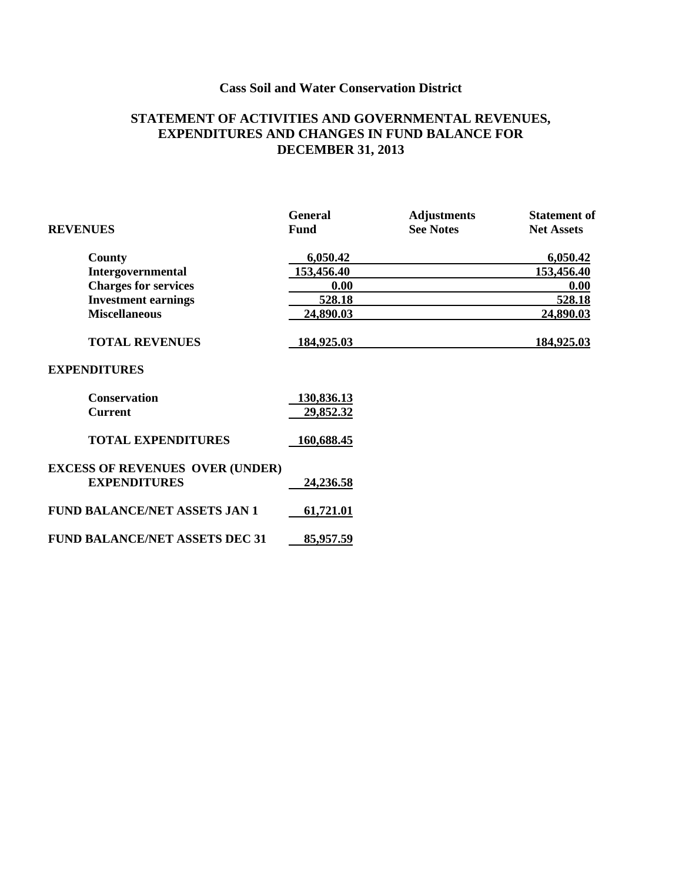# **Cass Soil and Water Conservation District**

### **STATEMENT OF ACTIVITIES AND GOVERNMENTAL REVENUES, EXPENDITURES AND CHANGES IN FUND BALANCE FOR DECEMBER 31, 2013**

|                                        | <b>General</b> | <b>Adjustments</b> | <b>Statement of</b> |
|----------------------------------------|----------------|--------------------|---------------------|
| <b>REVENUES</b>                        | Fund           | <b>See Notes</b>   | <b>Net Assets</b>   |
| County                                 | 6,050.42       |                    | 6,050.42            |
| Intergovernmental                      | 153,456.40     |                    | 153,456.40          |
| <b>Charges for services</b>            | 0.00           |                    | 0.00                |
| <b>Investment earnings</b>             | 528.18         |                    | 528.18              |
| <b>Miscellaneous</b>                   | 24,890.03      |                    | 24,890.03           |
| <b>TOTAL REVENUES</b>                  | 184,925.03     |                    | 184,925.03          |
| <b>EXPENDITURES</b>                    |                |                    |                     |
| <b>Conservation</b>                    | 130,836.13     |                    |                     |
| <b>Current</b>                         | 29,852.32      |                    |                     |
| <b>TOTAL EXPENDITURES</b>              | 160,688.45     |                    |                     |
| <b>EXCESS OF REVENUES OVER (UNDER)</b> |                |                    |                     |
| <b>EXPENDITURES</b>                    | 24,236.58      |                    |                     |
| <b>FUND BALANCE/NET ASSETS JAN 1</b>   | 61,721.01      |                    |                     |
| <b>FUND BALANCE/NET ASSETS DEC 31</b>  | 85,957.59      |                    |                     |